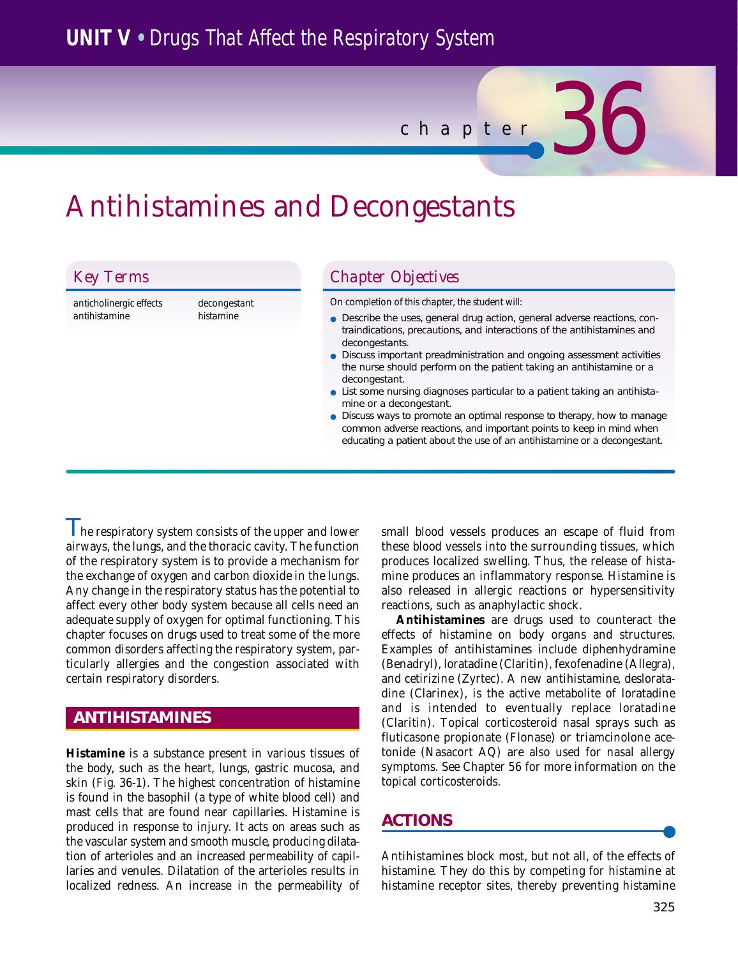# **UNIT V •** Drugs That Affect the Respiratory System

*chapter* 

# Antihistamines and Decongestants

*anticholinergic effects antihistamine*

*decongestant histamine*

# *Key Terms Chapter Objectives*

*On completion of this chapter, the student will:*

- Describe the uses, general drug action, general adverse reactions, contraindications, precautions, and interactions of the antihistamines and decongestants.
- Discuss important preadministration and ongoing assessment activities the nurse should perform on the patient taking an antihistamine or a decongestant.
- List some nursing diagnoses particular to a patient taking an antihistamine or a decongestant.
- Discuss ways to promote an optimal response to therapy, how to manage common adverse reactions, and important points to keep in mind when educating a patient about the use of an antihistamine or a decongestant.

 $\parallel$  he respiratory system consists of the upper and lower airways, the lungs, and the thoracic cavity. The function of the respiratory system is to provide a mechanism for the exchange of oxygen and carbon dioxide in the lungs. Any change in the respiratory status has the potential to affect every other body system because all cells need an adequate supply of oxygen for optimal functioning. This chapter focuses on drugs used to treat some of the more common disorders affecting the respiratory system, particularly allergies and the congestion associated with certain respiratory disorders.

# **ANTIHISTAMINES**

**Histamine** is a substance present in various tissues of the body, such as the heart, lungs, gastric mucosa, and skin (Fig. 36-1). The highest concentration of histamine is found in the basophil (a type of white blood cell) and mast cells that are found near capillaries. Histamine is produced in response to injury. It acts on areas such as the vascular system and smooth muscle, producing dilatation of arterioles and an increased permeability of capillaries and venules. Dilatation of the arterioles results in localized redness. An increase in the permeability of small blood vessels produces an escape of fluid from these blood vessels into the surrounding tissues, which produces localized swelling. Thus, the release of histamine produces an inflammatory response. Histamine is also released in allergic reactions or hypersensitivity reactions, such as anaphylactic shock.

**Antihistamines** are drugs used to counteract the effects of histamine on body organs and structures. Examples of antihistamines include diphenhydramine (Benadryl), loratadine (Claritin), fexofenadine (Allegra), and cetirizine (Zyrtec). A new antihistamine, desloratadine (Clarinex), is the active metabolite of loratadine and is intended to eventually replace loratadine (Claritin). Topical corticosteroid nasal sprays such as fluticasone propionate (Flonase) or triamcinolone acetonide (Nasacort AQ) are also used for nasal allergy symptoms. See Chapter 56 for more information on the topical corticosteroids.

# **ACTIONS** ●

Antihistamines block most, but not all, of the effects of histamine. They do this by competing for histamine at histamine receptor sites, thereby preventing histamine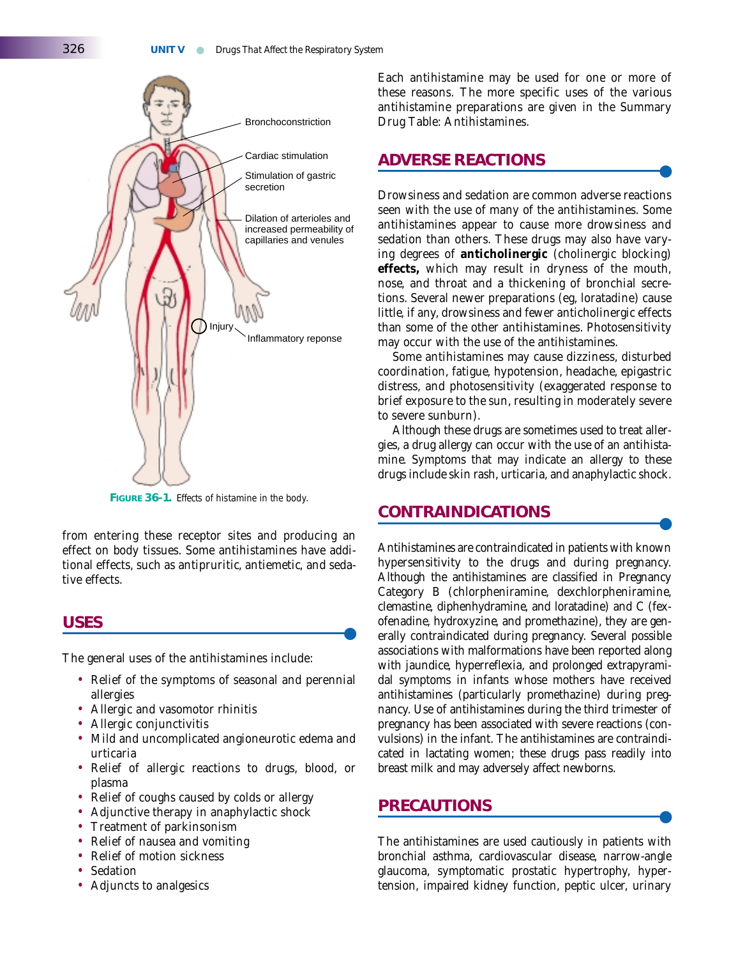

**FIGURE 36-1.** Effects of histamine in the body.

from entering these receptor sites and producing an effect on body tissues. Some antihistamines have additional effects, such as antipruritic, antiemetic, and sedative effects.

# **USES** ●

The general uses of the antihistamines include:

- Relief of the symptoms of seasonal and perennial allergies
- Allergic and vasomotor rhinitis
- Allergic conjunctivitis
- Mild and uncomplicated angioneurotic edema and urticaria
- Relief of allergic reactions to drugs, blood, or plasma
- Relief of coughs caused by colds or allergy
- Adjunctive therapy in anaphylactic shock
- Treatment of parkinsonism
- Relief of nausea and vomiting
- Relief of motion sickness
- Sedation
- Adjuncts to analgesics

Each antihistamine may be used for one or more of these reasons. The more specific uses of the various antihistamine preparations are given in the Summary Drug Table: Antihistamines.

# **ADVERSE REACTIONS** ●

Drowsiness and sedation are common adverse reactions seen with the use of many of the antihistamines. Some antihistamines appear to cause more drowsiness and sedation than others. These drugs may also have varying degrees of **anticholinergic** (cholinergic blocking) **effects,** which may result in dryness of the mouth, nose, and throat and a thickening of bronchial secretions. Several newer preparations (eg, loratadine) cause little, if any, drowsiness and fewer anticholinergic effects than some of the other antihistamines. Photosensitivity may occur with the use of the antihistamines.

Some antihistamines may cause dizziness, disturbed coordination, fatigue, hypotension, headache, epigastric distress, and photosensitivity (exaggerated response to brief exposure to the sun, resulting in moderately severe to severe sunburn).

Although these drugs are sometimes used to treat allergies, a drug allergy can occur with the use of an antihistamine. Symptoms that may indicate an allergy to these drugs include skin rash, urticaria, and anaphylactic shock.

# **CONTRAINDICATIONS** ●

Antihistamines are contraindicated in patients with known hypersensitivity to the drugs and during pregnancy. Although the antihistamines are classified in Pregnancy Category B (chlorpheniramine, dexchlorpheniramine, clemastine, diphenhydramine, and loratadine) and C (fexofenadine, hydroxyzine, and promethazine), they are generally contraindicated during pregnancy. Several possible associations with malformations have been reported along with jaundice, hyperreflexia, and prolonged extrapyramidal symptoms in infants whose mothers have received antihistamines (particularly promethazine) during pregnancy. Use of antihistamines during the third trimester of pregnancy has been associated with severe reactions (convulsions) in the infant. The antihistamines are contraindicated in lactating women; these drugs pass readily into breast milk and may adversely affect newborns.

# **PRECAUTIONS**

The antihistamines are used cautiously in patients with bronchial asthma, cardiovascular disease, narrow-angle glaucoma, symptomatic prostatic hypertrophy, hypertension, impaired kidney function, peptic ulcer, urinary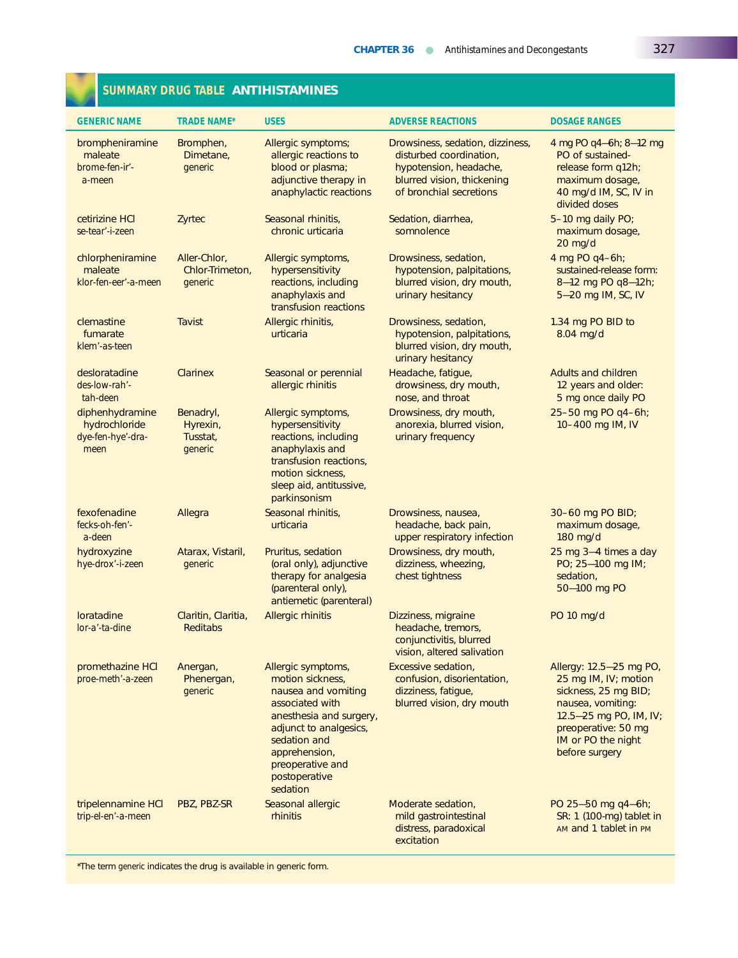# **SUMMARY DRUG TABLE ANTIHISTAMINES**

| <b>GENERIC NAME</b>                                           | <b>TRADE NAME*</b>                           | <b>USES</b>                                                                                                                                                                                                             | <b>ADVERSE REACTIONS</b>                                                                                                                       | <b>DOSAGE RANGES</b>                                                                                                                                                                  |
|---------------------------------------------------------------|----------------------------------------------|-------------------------------------------------------------------------------------------------------------------------------------------------------------------------------------------------------------------------|------------------------------------------------------------------------------------------------------------------------------------------------|---------------------------------------------------------------------------------------------------------------------------------------------------------------------------------------|
| brompheniramine<br>maleate<br>brome-fen-ir'-<br>a-meen        | Bromphen,<br>Dimetane,<br>generic            | Allergic symptoms;<br>allergic reactions to<br>blood or plasma;<br>adjunctive therapy in<br>anaphylactic reactions                                                                                                      | Drowsiness, sedation, dizziness,<br>disturbed coordination,<br>hypotension, headache,<br>blurred vision, thickening<br>of bronchial secretions | 4 mg PO q4-6h; 8-12 mg<br>PO of sustained-<br>release form q12h;<br>maximum dosage,<br>40 mg/d IM, SC, IV in<br>divided doses                                                         |
| cetirizine HCI<br>se-tear'-i-zeen                             | Zyrtec                                       | Seasonal rhinitis,<br>chronic urticaria                                                                                                                                                                                 | Sedation, diarrhea,<br>somnolence                                                                                                              | 5-10 mg daily PO;<br>maximum dosage,<br>$20$ mg/d                                                                                                                                     |
| chlorpheniramine<br>maleate<br>klor-fen-eer'-a-meen           | Aller-Chlor,<br>Chlor-Trimeton,<br>generic   | Allergic symptoms,<br>hypersensitivity<br>reactions, including<br>anaphylaxis and<br>transfusion reactions                                                                                                              | Drowsiness, sedation,<br>hypotension, palpitations,<br>blurred vision, dry mouth,<br>urinary hesitancy                                         | 4 mg PO q4-6h;<br>sustained-release form:<br>8-12 mg PO q8-12h;<br>5-20 mg IM, SC, IV                                                                                                 |
| clemastine<br>fumarate<br>klem'-as-teen                       | <b>Tavist</b>                                | Allergic rhinitis,<br>urticaria                                                                                                                                                                                         | Drowsiness, sedation,<br>hypotension, palpitations,<br>blurred vision, dry mouth,<br>urinary hesitancy                                         | 1.34 mg PO BID to<br>8.04 mg/d                                                                                                                                                        |
| desloratadine<br>des-low-rah'-<br>tah-deen                    | <b>Clarinex</b>                              | Seasonal or perennial<br>allergic rhinitis                                                                                                                                                                              | Headache, fatigue,<br>drowsiness, dry mouth,<br>nose, and throat                                                                               | <b>Adults and children</b><br>12 years and older:<br>5 mg once daily PO                                                                                                               |
| diphenhydramine<br>hydrochloride<br>dye-fen-hye'-dra-<br>meen | Benadryl,<br>Hyrexin,<br>Tusstat,<br>generic | Allergic symptoms,<br>hypersensitivity<br>reactions, including<br>anaphylaxis and<br>transfusion reactions,<br>motion sickness,<br>sleep aid, antitussive,<br>parkinsonism                                              | Drowsiness, dry mouth,<br>anorexia, blurred vision,<br>urinary frequency                                                                       | 25-50 mg PO q4-6h;<br>10-400 mg IM, IV                                                                                                                                                |
| fexofenadine<br>fecks-oh-fen'-<br>a-deen                      | Allegra                                      | Seasonal rhinitis,<br>urticaria                                                                                                                                                                                         | Drowsiness, nausea,<br>headache, back pain,<br>upper respiratory infection                                                                     | 30-60 mg PO BID;<br>maximum dosage,<br>180 mg/d                                                                                                                                       |
| hydroxyzine<br>hye-drox'-i-zeen                               | Atarax, Vistaril,<br>generic                 | Pruritus, sedation<br>(oral only), adjunctive<br>therapy for analgesia<br>(parenteral only),<br>antiemetic (parenteral)                                                                                                 | Drowsiness, dry mouth,<br>dizziness, wheezing,<br>chest tightness                                                                              | 25 mg 3-4 times a day<br>PO; 25-100 mg IM;<br>sedation,<br>50-100 mg PO                                                                                                               |
| loratadine<br>lor-a'-ta-dine                                  | Claritin, Claritia,<br><b>Reditabs</b>       | <b>Allergic rhinitis</b>                                                                                                                                                                                                | Dizziness, migraine<br>headache, tremors,<br>conjunctivitis, blurred<br>vision, altered salivation                                             | PO 10 mg/d                                                                                                                                                                            |
| promethazine HCI<br>proe-meth'-a-zeen                         | Anergan,<br>Phenergan,<br>generic            | Allergic symptoms,<br>motion sickness,<br>nausea and vomiting<br>associated with<br>anesthesia and surgery,<br>adjunct to analgesics,<br>sedation and<br>apprehension,<br>preoperative and<br>postoperative<br>sedation | <b>Excessive sedation,</b><br>confusion, disorientation,<br>dizziness, fatigue,<br>blurred vision, dry mouth                                   | Allergy: 12.5-25 mg PO,<br>25 mg IM, IV; motion<br>sickness, 25 mg BID;<br>nausea, vomiting:<br>12.5-25 mg PO, IM, IV;<br>preoperative: 50 mg<br>IM or PO the night<br>before surgery |
| tripelennamine HCI<br>trip-el-en'-a-meen                      | PBZ, PBZ-SR                                  | Seasonal allergic<br>rhinitis                                                                                                                                                                                           | Moderate sedation,<br>mild gastrointestinal<br>distress, paradoxical<br>excitation                                                             | PO 25-50 mg q4-6h;<br>SR: 1 (100-mg) tablet in<br>AM and 1 tablet in PM                                                                                                               |

\*The term *generic* indicates the drug is available in generic form.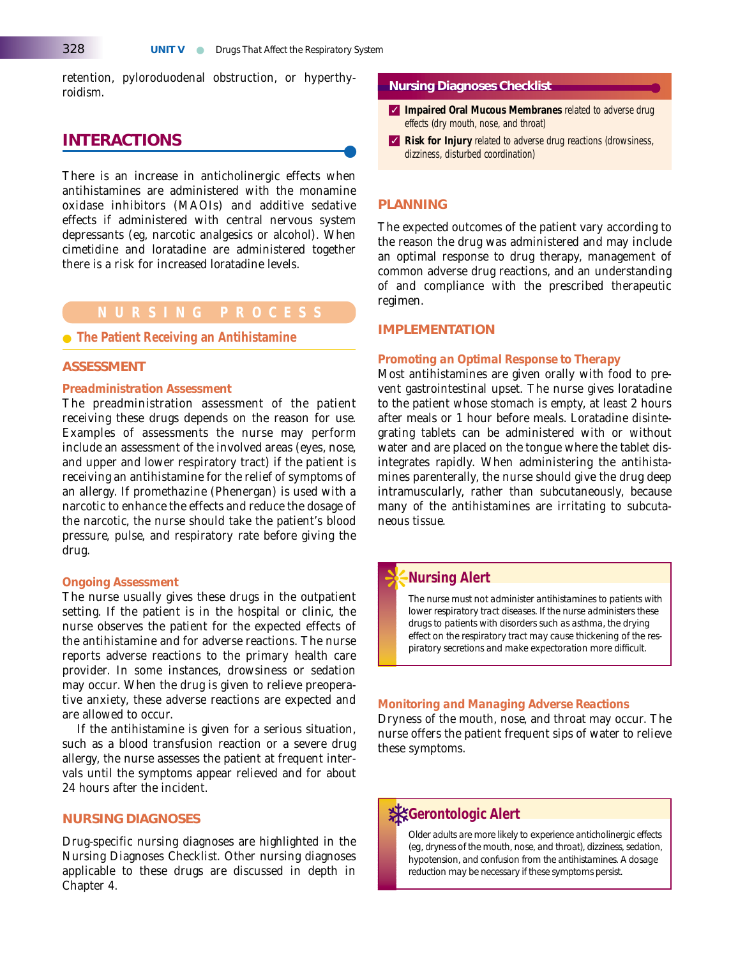retention, pyloroduodenal obstruction, or hyperthyroidism.

# **INTERACTIONS**

There is an increase in anticholinergic effects when antihistamines are administered with the monamine oxidase inhibitors (MAOIs) and additive sedative effects if administered with central nervous system depressants (eg, narcotic analgesics or alcohol). When cimetidine and loratadine are administered together there is a risk for increased loratadine levels.

# ● **The Patient Receiving an Antihistamine**

#### **ASSESSMENT**

#### *Preadministration Assessment*

The preadministration assessment of the patient receiving these drugs depends on the reason for use. Examples of assessments the nurse may perform include an assessment of the involved areas (eyes, nose, and upper and lower respiratory tract) if the patient is receiving an antihistamine for the relief of symptoms of an allergy. If promethazine (Phenergan) is used with a narcotic to enhance the effects and reduce the dosage of the narcotic, the nurse should take the patient's blood pressure, pulse, and respiratory rate before giving the drug.

#### *Ongoing Assessment*

The nurse usually gives these drugs in the outpatient setting. If the patient is in the hospital or clinic, the nurse observes the patient for the expected effects of the antihistamine and for adverse reactions. The nurse reports adverse reactions to the primary health care provider. In some instances, drowsiness or sedation may occur. When the drug is given to relieve preoperative anxiety, these adverse reactions are expected and are allowed to occur.

If the antihistamine is given for a serious situation, such as a blood transfusion reaction or a severe drug allergy, the nurse assesses the patient at frequent intervals until the symptoms appear relieved and for about 24 hours after the incident.

# **NURSING DIAGNOSES**

Drug-specific nursing diagnoses are highlighted in the Nursing Diagnoses Checklist. Other nursing diagnoses applicable to these drugs are discussed in depth in Chapter 4.

#### **Nursing Diagnoses Checklist**

- ✓ **Impaired Oral Mucous Membranes** related to adverse drug effects (dry mouth, nose, and throat)
- ✓ **Risk for Injury** related to adverse drug reactions (drowsiness, dizziness, disturbed coordination)

# **PLANNING**

The expected outcomes of the patient vary according to the reason the drug was administered and may include an optimal response to drug therapy, management of common adverse drug reactions, and an understanding of and compliance with the prescribed therapeutic regimen.

# **IMPLEMENTATION**

#### *Promoting an Optimal Response to Therapy*

Most antihistamines are given orally with food to prevent gastrointestinal upset. The nurse gives loratadine to the patient whose stomach is empty, at least 2 hours after meals or 1 hour before meals. Loratadine disintegrating tablets can be administered with or without water and are placed on the tongue where the tablet disintegrates rapidly. When administering the antihistamines parenterally, the nurse should give the drug deep intramuscularly, rather than subcutaneously, because many of the antihistamines are irritating to subcutaneous tissue.

# ❊**Nursing Alert**

*The nurse must not administer antihistamines to patients with lower respiratory tract diseases. If the nurse administers these drugs to patients with disorders such as asthma, the drying effect on the respiratory tract may cause thickening of the respiratory secretions and make expectoration more difficult.*

#### *Monitoring and Managing Adverse Reactions*

Dryness of the mouth, nose, and throat may occur. The nurse offers the patient frequent sips of water to relieve these symptoms.

# *<b>We* Gerontologic Alert

*Older adults are more likely to experience anticholinergic effects (eg, dryness of the mouth, nose, and throat), dizziness, sedation, hypotension, and confusion from the antihistamines. A dosage reduction may be necessary if these symptoms persist.*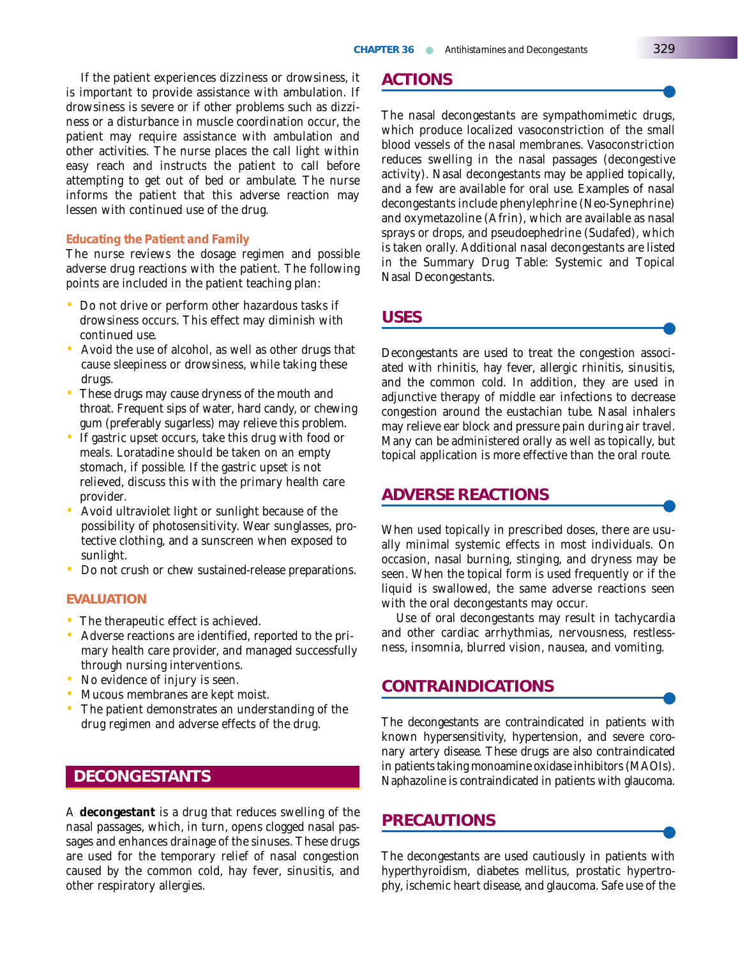If the patient experiences dizziness or drowsiness, it is important to provide assistance with ambulation. If drowsiness is severe or if other problems such as dizziness or a disturbance in muscle coordination occur, the patient may require assistance with ambulation and other activities. The nurse places the call light within easy reach and instructs the patient to call before attempting to get out of bed or ambulate. The nurse informs the patient that this adverse reaction may lessen with continued use of the drug.

#### *Educating the Patient and Family*

The nurse reviews the dosage regimen and possible adverse drug reactions with the patient. The following points are included in the patient teaching plan:

- Do not drive or perform other hazardous tasks if drowsiness occurs. This effect may diminish with continued use.
- Avoid the use of alcohol, as well as other drugs that cause sleepiness or drowsiness, while taking these drugs.
- These drugs may cause dryness of the mouth and throat. Frequent sips of water, hard candy, or chewing gum (preferably sugarless) may relieve this problem.
- If gastric upset occurs, take this drug with food or meals. Loratadine should be taken on an empty stomach, if possible. If the gastric upset is not relieved, discuss this with the primary health care provider.
- Avoid ultraviolet light or sunlight because of the possibility of photosensitivity. Wear sunglasses, protective clothing, and a sunscreen when exposed to sunlight.
- Do not crush or chew sustained-release preparations.

#### **EVALUATION**

- The therapeutic effect is achieved.
- Adverse reactions are identified, reported to the primary health care provider, and managed successfully through nursing interventions.
- No evidence of injury is seen.
- Mucous membranes are kept moist.
- The patient demonstrates an understanding of the drug regimen and adverse effects of the drug.

# **DECONGESTANTS**

A **decongestant** is a drug that reduces swelling of the nasal passages, which, in turn, opens clogged nasal passages and enhances drainage of the sinuses. These drugs are used for the temporary relief of nasal congestion caused by the common cold, hay fever, sinusitis, and other respiratory allergies.

# **ACTIONS** ●

The nasal decongestants are sympathomimetic drugs, which produce localized vasoconstriction of the small blood vessels of the nasal membranes. Vasoconstriction reduces swelling in the nasal passages (decongestive activity). Nasal decongestants may be applied topically, and a few are available for oral use. Examples of nasal decongestants include phenylephrine (Neo-Synephrine) and oxymetazoline (Afrin), which are available as nasal sprays or drops, and pseudoephedrine (Sudafed), which is taken orally. Additional nasal decongestants are listed in the Summary Drug Table: Systemic and Topical Nasal Decongestants.

# **USES** ●

Decongestants are used to treat the congestion associated with rhinitis, hay fever, allergic rhinitis, sinusitis, and the common cold. In addition, they are used in adjunctive therapy of middle ear infections to decrease congestion around the eustachian tube. Nasal inhalers may relieve ear block and pressure pain during air travel. Many can be administered orally as well as topically, but topical application is more effective than the oral route.

# **ADVERSE REACTIONS** ●

When used topically in prescribed doses, there are usually minimal systemic effects in most individuals. On occasion, nasal burning, stinging, and dryness may be seen. When the topical form is used frequently or if the liquid is swallowed, the same adverse reactions seen with the oral decongestants may occur.

Use of oral decongestants may result in tachycardia and other cardiac arrhythmias, nervousness, restlessness, insomnia, blurred vision, nausea, and vomiting.

# **CONTRAINDICATIONS** ●

The decongestants are contraindicated in patients with known hypersensitivity, hypertension, and severe coronary artery disease. These drugs are also contraindicated in patients taking monoamine oxidase inhibitors (MAOIs). Naphazoline is contraindicated in patients with glaucoma.

# **PRECAUTIONS**

The decongestants are used cautiously in patients with hyperthyroidism, diabetes mellitus, prostatic hypertrophy, ischemic heart disease, and glaucoma. Safe use of the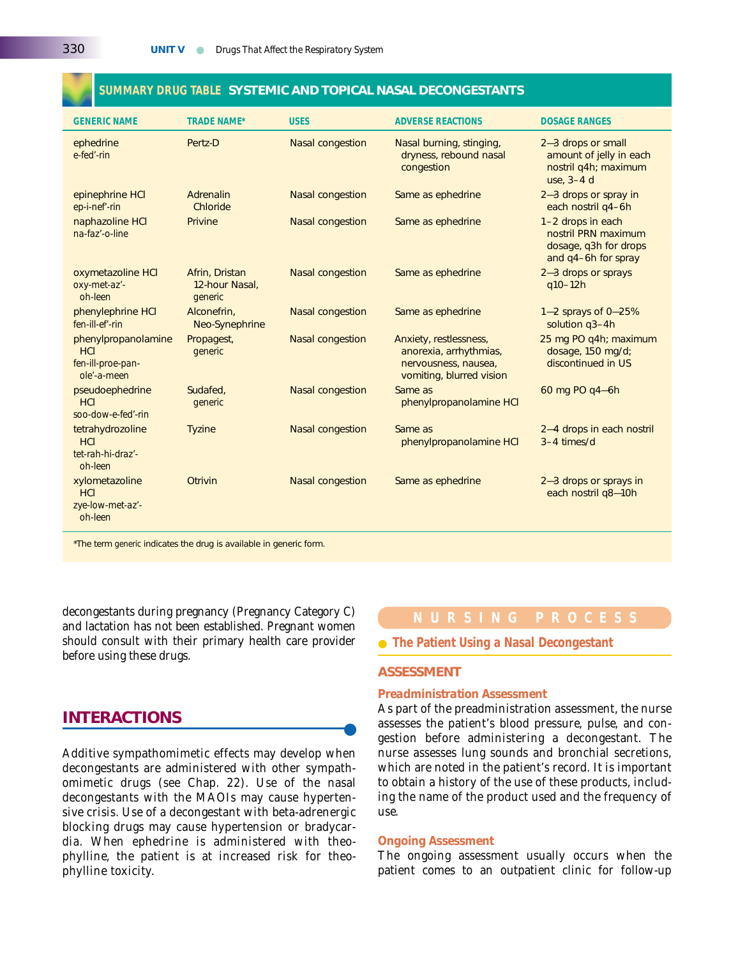| <b>GENERIC NAME</b>                                                   | <b>TRADE NAME*</b>                          | <b>USES</b>             | <b>ADVERSE REACTIONS</b>                                                                             | <b>DOSAGE RANGES</b>                                                                     |  |
|-----------------------------------------------------------------------|---------------------------------------------|-------------------------|------------------------------------------------------------------------------------------------------|------------------------------------------------------------------------------------------|--|
| ephedrine<br>e-fed'-rin                                               | Pertz-D                                     | <b>Nasal congestion</b> | Nasal burning, stinging,<br>dryness, rebound nasal<br>congestion                                     | 2-3 drops or small<br>amount of jelly in each<br>nostril q4h; maximum<br>use, 3-4 d      |  |
| epinephrine HCI<br>ep-i-nef'-rin                                      | Adrenalin<br>Chloride                       | <b>Nasal congestion</b> | Same as ephedrine                                                                                    | 2-3 drops or spray in<br>each nostril q4-6h                                              |  |
| naphazoline HCI<br>na-faz'-o-line                                     | Privine                                     | <b>Nasal congestion</b> | Same as ephedrine                                                                                    | 1-2 drops in each<br>nostril PRN maximum<br>dosage, q3h for drops<br>and q4-6h for spray |  |
| oxymetazoline HCI<br>oxy-met-az'-<br>oh-leen                          | Afrin, Dristan<br>12-hour Nasal.<br>generic | <b>Nasal congestion</b> | Same as ephedrine                                                                                    | 2-3 drops or sprays<br>q10-12h                                                           |  |
| phenylephrine HCI<br>fen-ill-ef'-rin                                  | Alconefrin,<br>Neo-Synephrine               | <b>Nasal congestion</b> | Same as ephedrine                                                                                    | 1-2 sprays of $0-25%$<br>solution g3-4h                                                  |  |
| phenylpropanolamine<br><b>HCI</b><br>fen-ill-proe-pan-<br>ole'-a-meen | Propagest,<br>generic                       | <b>Nasal congestion</b> | Anxiety, restlessness,<br>anorexia, arrhythmias,<br>nervousness, nausea,<br>vomiting, blurred vision | 25 mg PO q4h; maximum<br>dosage, 150 mg/d;<br>discontinued in US                         |  |
| pseudoephedrine<br><b>HCI</b><br>soo-dow-e-fed'-rin                   | Sudafed,<br>generic                         | <b>Nasal congestion</b> | Same as<br>phenylpropanolamine HCI                                                                   | 60 mg PO q4-6h                                                                           |  |
| tetrahydrozoline<br><b>HCI</b><br>tet-rah-hi-draz'-<br>oh-leen        | <b>Tyzine</b>                               | <b>Nasal congestion</b> | Same as<br>phenylpropanolamine HCI                                                                   | 2-4 drops in each nostril<br>3-4 times/d                                                 |  |
| xylometazoline<br><b>HCI</b><br>zye-low-met-az'-<br>oh-leen           | Otrivin                                     | <b>Nasal congestion</b> | Same as ephedrine                                                                                    | 2-3 drops or sprays in<br>each nostril q8-10h                                            |  |
| $\cdots$ $\cdots$                                                     |                                             |                         |                                                                                                      |                                                                                          |  |

\*The term *generic* indicates the drug is available in generic form.

decongestants during pregnancy (Pregnancy Category C) and lactation has not been established. Pregnant women should consult with their primary health care provider before using these drugs.

# ● **The Patient Using a Nasal Decongestant**

# **ASSESSMENT**

## *Preadministration Assessment*

As part of the preadministration assessment, the nurse assesses the patient's blood pressure, pulse, and congestion before administering a decongestant. The nurse assesses lung sounds and bronchial secretions, which are noted in the patient's record. It is important to obtain a history of the use of these products, including the name of the product used and the frequency of use.

# *Ongoing Assessment*

The ongoing assessment usually occurs when the patient comes to an outpatient clinic for follow-up

# **INTERACTIONS**

Additive sympathomimetic effects may develop when decongestants are administered with other sympathomimetic drugs (see Chap. 22). Use of the nasal decongestants with the MAOIs may cause hypertensive crisis. Use of a decongestant with beta-adrenergic blocking drugs may cause hypertension or bradycardia. When ephedrine is administered with theophylline, the patient is at increased risk for theophylline toxicity.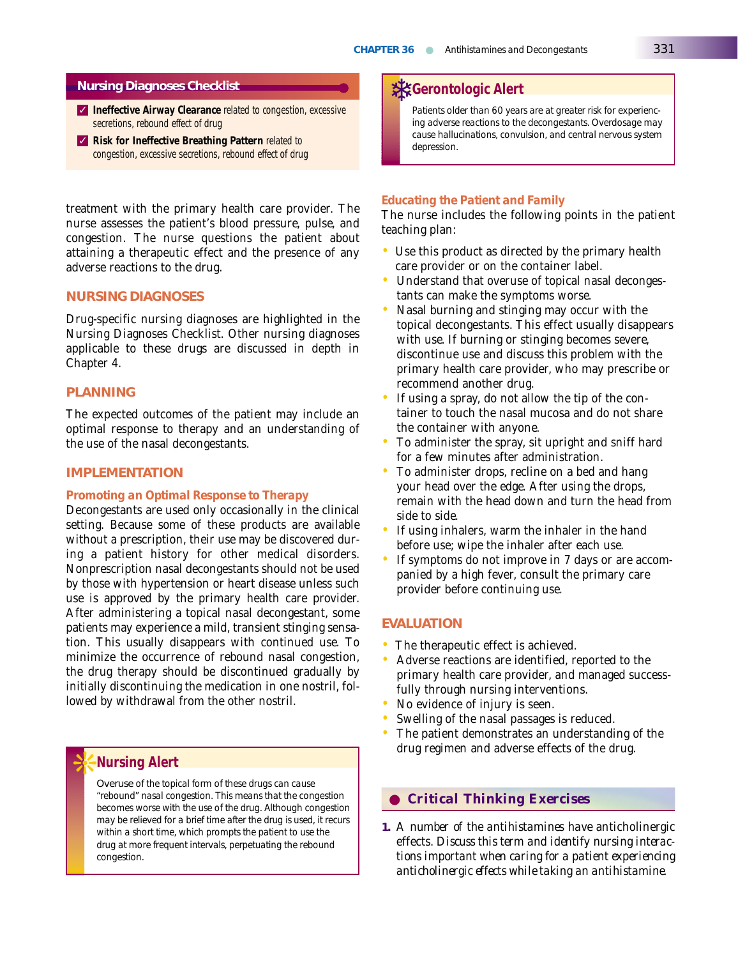#### **Nursing Diagnoses Checklist**

- ✓ **Ineffective Airway Clearance** related to congestion, excessive secretions, rebound effect of drug
- ✓ **Risk for Ineffective Breathing Pattern** related to congestion, excessive secretions, rebound effect of drug

treatment with the primary health care provider. The nurse assesses the patient's blood pressure, pulse, and congestion. The nurse questions the patient about attaining a therapeutic effect and the presence of any adverse reactions to the drug.

# **NURSING DIAGNOSES**

Drug-specific nursing diagnoses are highlighted in the Nursing Diagnoses Checklist. Other nursing diagnoses applicable to these drugs are discussed in depth in Chapter 4.

#### **PLANNING**

The expected outcomes of the patient may include an optimal response to therapy and an understanding of the use of the nasal decongestants.

### **IMPLEMENTATION**

#### *Promoting an Optimal Response to Therapy*

Decongestants are used only occasionally in the clinical setting. Because some of these products are available without a prescription, their use may be discovered during a patient history for other medical disorders. Nonprescription nasal decongestants should not be used by those with hypertension or heart disease unless such use is approved by the primary health care provider. After administering a topical nasal decongestant, some patients may experience a mild, transient stinging sensation. This usually disappears with continued use. To minimize the occurrence of rebound nasal congestion, the drug therapy should be discontinued gradually by initially discontinuing the medication in one nostril, followed by withdrawal from the other nostril.

# ❊**Nursing Alert**

Overuse *of the topical form of these drugs can cause "rebound" nasal congestion. This means that the congestion becomes worse with the use of the drug. Although congestion may be relieved for a brief time after the drug is used, it recurs within a short time, which prompts the patient to use the drug at more frequent intervals, perpetuating the rebound congestion.* 

# ❄**Gerontologic Alert**

*Patients older than 60 years are at greater risk for experiencing adverse reactions to the decongestants. Overdosage may cause hallucinations, convulsion, and central nervous system depression.* 

#### *Educating the Patient and Family*

The nurse includes the following points in the patient teaching plan:

- Use this product as directed by the primary health care provider or on the container label.
- Understand that overuse of topical nasal decongestants can make the symptoms worse.
- Nasal burning and stinging may occur with the topical decongestants. This effect usually disappears with use. If burning or stinging becomes severe, discontinue use and discuss this problem with the primary health care provider, who may prescribe or recommend another drug.
- If using a spray, do not allow the tip of the container to touch the nasal mucosa and do not share the container with anyone.
- To administer the spray, sit upright and sniff hard for a few minutes after administration.
- To administer drops, recline on a bed and hang your head over the edge. After using the drops, remain with the head down and turn the head from side to side.
- If using inhalers, warm the inhaler in the hand before use; wipe the inhaler after each use.
- If symptoms do not improve in 7 days or are accompanied by a high fever, consult the primary care provider before continuing use.

# **EVALUATION**

- The therapeutic effect is achieved.
- Adverse reactions are identified, reported to the primary health care provider, and managed successfully through nursing interventions.
- No evidence of injury is seen.
- Swelling of the nasal passages is reduced.<br>• The patient demonstrates an understandi
- The patient demonstrates an understanding of the drug regimen and adverse effects of the drug.

# ● *Critical Thinking Exercises*

**1.** *A number of the antihistamines have* anticholinergic effects. *Discuss this term and identify nursing interactions important when caring for a patient experiencing anticholinergic effects while taking an antihistamine.*